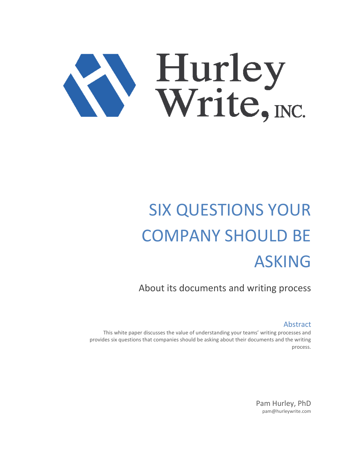

## SIX QUESTIONS YOUR COMPANY SHOULD BE ASKING

About its documents and writing process

Abstract

This white paper discusses the value of understanding your teams' writing processes and provides six questions that companies should be asking about their documents and the writing process.

> Pam Hurley, PhD pam@hurleywrite.com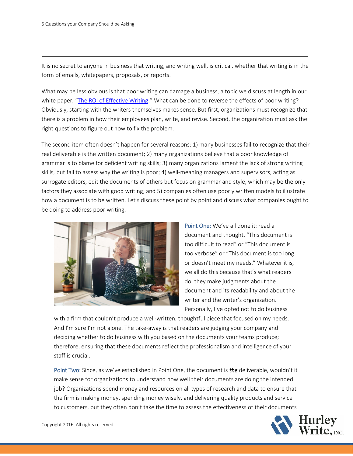It is no secret to anyone in business that writing, and writing well, is critical, whether that writing is in the form of emails, whitepapers, proposals, or reports.

What may be less obvious is that poor writing can damage a business, a topic we discuss at length in our white paper, "[The ROI of Effective Writing.](https://www.hurleywrite.com/white-papers/id/3511423/the-roi-of-effective-writing)" What can be done to reverse the effects of poor writing? Obviously, starting with the writers themselves makes sense. But first, organizations must recognize that there is a problem in how their employees plan, write, and revise. Second, the organization must ask the right questions to figure out how to fix the problem.

The second item often doesn't happen for several reasons: 1) many businesses fail to recognize that their real deliverable is the written document; 2) many organizations believe that a poor knowledge of grammar is to blame for deficient writing skills; 3) many organizations lament the lack of strong writing skills, but fail to assess why the writing is poor; 4) well-meaning managers and supervisors, acting as surrogate editors, edit the documents of others but focus on grammar and style, which may be the only factors they associate with good writing; and 5) companies often use poorly written models to illustrate how a document is to be written. Let's discuss these point by point and discuss what companies ought to be doing to address poor writing.



Point One: We've all done it: read a document and thought, "This document is too difficult to read" or "This document is too verbose" or "This document is too long or doesn't meet my needs." Whatever it is, we all do this because that's what readers do: they make judgments about the document and its readability and about the writer and the writer's organization. Personally, I've opted not to do business

with a firm that couldn't produce a well-written, thoughtful piece that focused on my needs. And I'm sure I'm not alone. The take-away is that readers are judging your company and deciding whether to do business with you based on the documents your teams produce; therefore, ensuring that these documents reflect the professionalism and intelligence of your staff is crucial.

Point Two: Since, as we've established in Point One, the document is *the* deliverable, wouldn't it make sense for organizations to understand how well their documents are doing the intended job? Organizations spend money and resources on all types of research and data to ensure that the firm is making money, spending money wisely, and delivering quality products and service to customers, but they often don't take the time to assess the effectiveness of their documents



Copyright 2016. All rights reserved.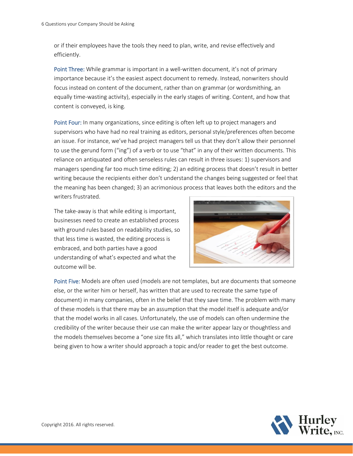or if their employees have the tools they need to plan, write, and revise effectively and efficiently.

Point Three: While grammar is important in a well-written document, it's not of primary importance because it's the easiest aspect document to remedy. Instead, nonwriters should focus instead on content of the document, rather than on grammar (or wordsmithing, an equally time-wasting activity), especially in the early stages of writing. Content, and how that content is conveyed, is king.

Point Four: In many organizations, since editing is often left up to project managers and supervisors who have had no real training as editors, personal style/preferences often become an issue. For instance, we've had project managers tell us that they don't allow their personnel to use the gerund form ("ing") of a verb or to use "that" in any of their written documents. This reliance on antiquated and often senseless rules can result in three issues: 1) supervisors and managers spending far too much time editing; 2) an editing process that doesn't result in better writing because the recipients either don't understand the changes being suggested or feel that the meaning has been changed; 3) an acrimonious process that leaves both the editors and the writers frustrated.

The take-away is that while editing is important, businesses need to create an established process with ground rules based on readability studies, so that less time is wasted, the editing process is embraced, and both parties have a good understanding of what's expected and what the outcome will be.



Point Five: Models are often used (models are not templates, but are documents that someone else, or the writer him or herself, has written that are used to recreate the same type of document) in many companies, often in the belief that they save time. The problem with many of these models is that there may be an assumption that the model itself is adequate and/or that the model works in all cases. Unfortunately, the use of models can often undermine the credibility of the writer because their use can make the writer appear lazy or thoughtless and the models themselves become a "one size fits all," which translates into little thought or care being given to how a writer should approach a topic and/or reader to get the best outcome.

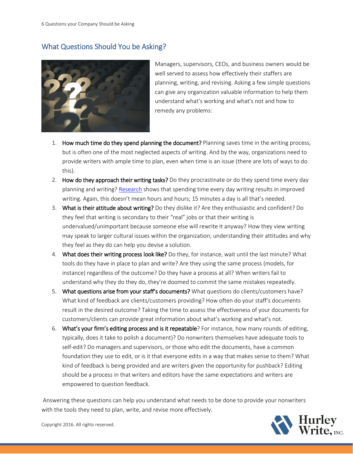## What Questions Should You be Asking?



Managers, supervisors, CEOs, and business owners would be well served to assess how effectively their staffers are planning, writing, and revising. Asking a few simple questions can give any organization valuable information to help them understand what's working and what's not and how to remedy any problems:

- 1. How much time do they spend planning the document? Planning saves time in the writing process, but is often one of the most neglected aspects of writing. And by the way, organizations need to provide writers with ample time to plan, even when time is an issue (there are lots of ways to do this).
- 2. How do they approach their writing tasks? Do they procrastinate or do they spend time every day planning and writing? [Research](https://www.insidehighered.com/advice/2009/11/02/what-research-says) shows that spending time every day writing results in improved writing. Again, this doesn't mean hours and hours; 15 minutes a day is all that's needed.
- 3. What is their attitude about writing? Do they dislike it? Are they enthusiastic and confident? Do they feel that writing is secondary to their "real" jobs or that their writing is undervalued/unimportant because someone else will rewrite it anyway? How they view writing may speak to larger cultural issues within the organization; understanding their attitudes and why they feel as they do can help you devise a solution.
- 4. What does their writing process look like? Do they, for instance, wait until the last minute? What tools do they have in place to plan and write? Are they using the same process (models, for instance) regardless of the outcome? Do they have a process at all? When writers fail to understand why they do they do, they're doomed to commit the same mistakes repeatedly.
- 5. What questions arise from your staff's documents? What questions do clients/customers have? What kind of feedback are clients/customers providing? How often do your staff's documents result in the desired outcome? Taking the time to assess the effectiveness of your documents for customers/clients can provide great information about what's working and what's not.
- 6. What's your firm's editing process and is it repeatable? For instance, how many rounds of editing, typically, does it take to polish a document)? Do nonwriters themselves have adequate tools to self-edit? Do managers and supervisors, or those who edit the documents, have a common foundation they use to edit, or is it that everyone edits in a way that makes sense to them? What kind of feedback is being provided and are writers given the opportunity for pushback? Editing should be a process in that writers and editors have the same expectations and writers are empowered to question feedback.

Answering these questions can help you understand what needs to be done to provide your nonwriters with the tools they need to plan, write, and revise more effectively.



Copyright 2016. All rights reserved.